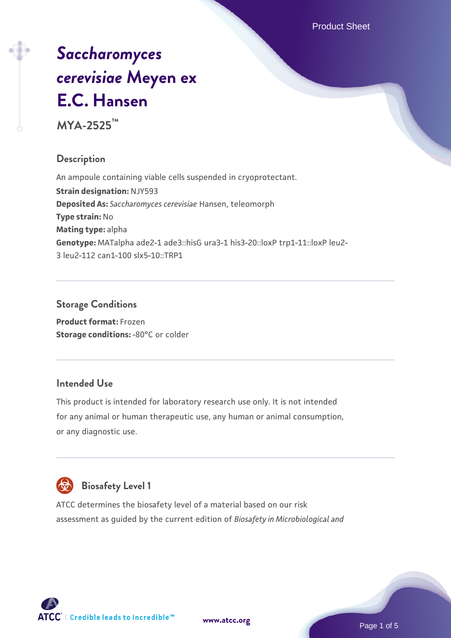Product Sheet

# *[Saccharomyces](https://www.atcc.org/products/mya-2525) [cerevisiae](https://www.atcc.org/products/mya-2525)* **[Meyen ex](https://www.atcc.org/products/mya-2525) [E.C. Hansen](https://www.atcc.org/products/mya-2525)**

**MYA-2525™**

# **Description**

An ampoule containing viable cells suspended in cryoprotectant. **Strain designation:** NJY593 **Deposited As:** *Saccharomyces cerevisiae* Hansen, teleomorph **Type strain:** No **Mating type:** alpha **Genotype:** MATalpha ade2-1 ade3::hisG ura3-1 his3-20::loxP trp1-11::loxP leu2- 3 leu2-112 can1-100 slx5-10::TRP1

# **Storage Conditions**

**Product format:** Frozen **Storage conditions: -80°C or colder** 

# **Intended Use**

This product is intended for laboratory research use only. It is not intended for any animal or human therapeutic use, any human or animal consumption, or any diagnostic use.



# **Biosafety Level 1**

ATCC determines the biosafety level of a material based on our risk assessment as guided by the current edition of *Biosafety in Microbiological and*

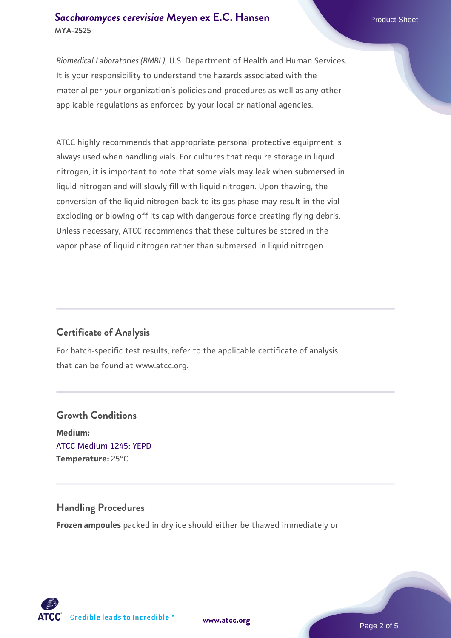### **[Saccharomyces cerevisiae](https://www.atcc.org/products/mya-2525)** [Meyen ex E.C. Hansen](https://www.atcc.org/products/mya-2525) **MYA-2525**

*Biomedical Laboratories (BMBL)*, U.S. Department of Health and Human Services. It is your responsibility to understand the hazards associated with the material per your organization's policies and procedures as well as any other applicable regulations as enforced by your local or national agencies.

ATCC highly recommends that appropriate personal protective equipment is always used when handling vials. For cultures that require storage in liquid nitrogen, it is important to note that some vials may leak when submersed in liquid nitrogen and will slowly fill with liquid nitrogen. Upon thawing, the conversion of the liquid nitrogen back to its gas phase may result in the vial exploding or blowing off its cap with dangerous force creating flying debris. Unless necessary, ATCC recommends that these cultures be stored in the vapor phase of liquid nitrogen rather than submersed in liquid nitrogen.

# **Certificate of Analysis**

For batch-specific test results, refer to the applicable certificate of analysis that can be found at www.atcc.org.

# **Growth Conditions Medium:**  [ATCC Medium 1245: YEPD](https://www.atcc.org/-/media/product-assets/documents/microbial-media-formulations/1/2/4/5/atcc-medium-1245.pdf?rev=705ca55d1b6f490a808a965d5c072196) **Temperature:** 25°C

#### **Handling Procedures**

**Frozen ampoules** packed in dry ice should either be thawed immediately or

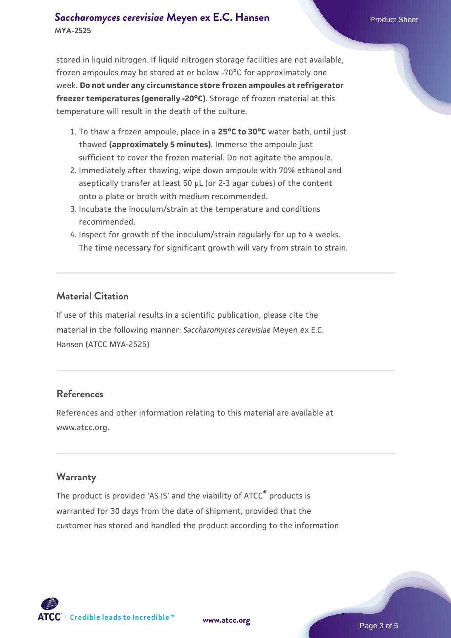## **[Saccharomyces cerevisiae](https://www.atcc.org/products/mya-2525)** [Meyen ex E.C. Hansen](https://www.atcc.org/products/mya-2525) **MYA-2525**

stored in liquid nitrogen. If liquid nitrogen storage facilities are not available, frozen ampoules may be stored at or below -70°C for approximately one week. **Do not under any circumstance store frozen ampoules at refrigerator freezer temperatures (generally -20°C)**. Storage of frozen material at this temperature will result in the death of the culture.

- 1. To thaw a frozen ampoule, place in a **25°C to 30°C** water bath, until just thawed **(approximately 5 minutes)**. Immerse the ampoule just sufficient to cover the frozen material. Do not agitate the ampoule.
- 2. Immediately after thawing, wipe down ampoule with 70% ethanol and aseptically transfer at least 50 µL (or 2-3 agar cubes) of the content onto a plate or broth with medium recommended.
- 3. Incubate the inoculum/strain at the temperature and conditions recommended.
- 4. Inspect for growth of the inoculum/strain regularly for up to 4 weeks. The time necessary for significant growth will vary from strain to strain.

### **Material Citation**

If use of this material results in a scientific publication, please cite the material in the following manner: *Saccharomyces cerevisiae* Meyen ex E.C. Hansen (ATCC MYA-2525)

#### **References**

References and other information relating to this material are available at www.atcc.org.

#### **Warranty**

The product is provided 'AS IS' and the viability of ATCC® products is warranted for 30 days from the date of shipment, provided that the customer has stored and handled the product according to the information

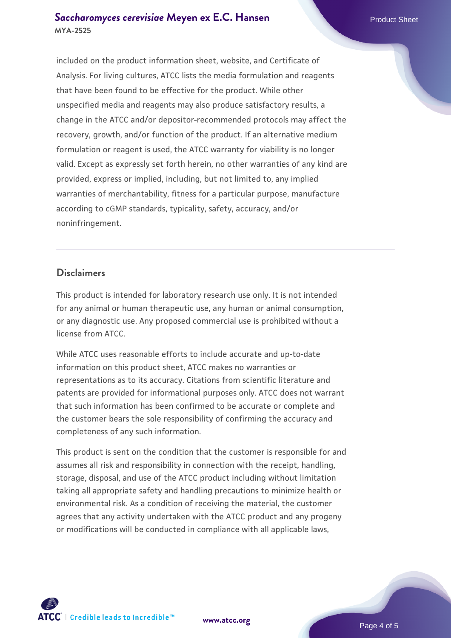### **[Saccharomyces cerevisiae](https://www.atcc.org/products/mya-2525)** [Meyen ex E.C. Hansen](https://www.atcc.org/products/mya-2525) **MYA-2525**

included on the product information sheet, website, and Certificate of Analysis. For living cultures, ATCC lists the media formulation and reagents that have been found to be effective for the product. While other unspecified media and reagents may also produce satisfactory results, a change in the ATCC and/or depositor-recommended protocols may affect the recovery, growth, and/or function of the product. If an alternative medium formulation or reagent is used, the ATCC warranty for viability is no longer valid. Except as expressly set forth herein, no other warranties of any kind are provided, express or implied, including, but not limited to, any implied warranties of merchantability, fitness for a particular purpose, manufacture according to cGMP standards, typicality, safety, accuracy, and/or noninfringement.

#### **Disclaimers**

This product is intended for laboratory research use only. It is not intended for any animal or human therapeutic use, any human or animal consumption, or any diagnostic use. Any proposed commercial use is prohibited without a license from ATCC.

While ATCC uses reasonable efforts to include accurate and up-to-date information on this product sheet, ATCC makes no warranties or representations as to its accuracy. Citations from scientific literature and patents are provided for informational purposes only. ATCC does not warrant that such information has been confirmed to be accurate or complete and the customer bears the sole responsibility of confirming the accuracy and completeness of any such information.

This product is sent on the condition that the customer is responsible for and assumes all risk and responsibility in connection with the receipt, handling, storage, disposal, and use of the ATCC product including without limitation taking all appropriate safety and handling precautions to minimize health or environmental risk. As a condition of receiving the material, the customer agrees that any activity undertaken with the ATCC product and any progeny or modifications will be conducted in compliance with all applicable laws,



**[www.atcc.org](http://www.atcc.org)**

Page 4 of 5